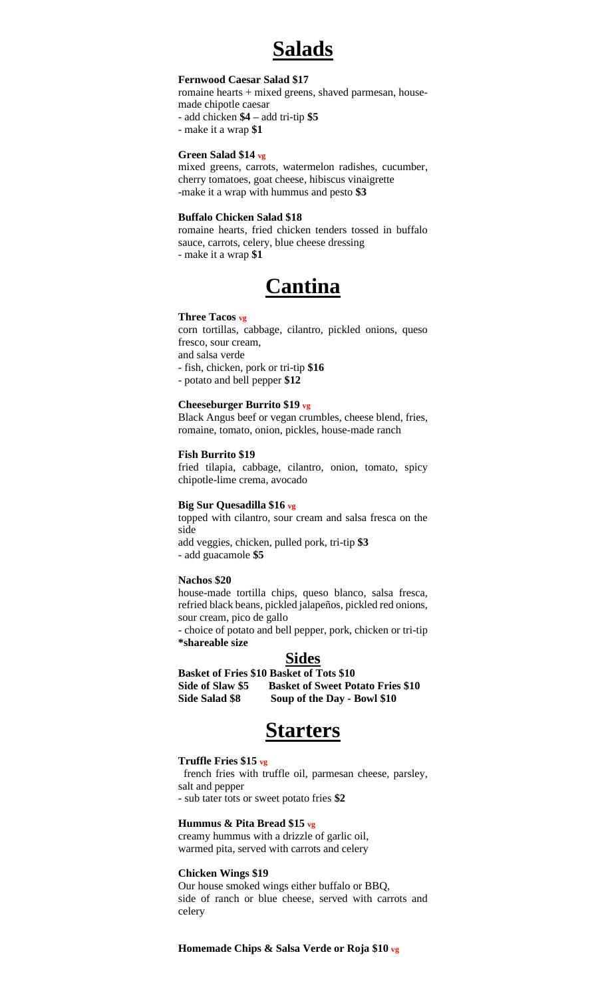# **Salads**

### **Fernwood Caesar Salad \$17**

romaine hearts + mixed greens, shaved parmesan, housemade chipotle caesar

- add chicken **\$4 –** add tri-tip **\$5**

- make it a wrap **\$1**

## **Green Salad \$14 vg**

mixed greens, carrots, watermelon radishes, cucumber, cherry tomatoes, goat cheese, hibiscus vinaigrette -make it a wrap with hummus and pesto **\$3**

#### **Buffalo Chicken Salad \$18**

romaine hearts, fried chicken tenders tossed in buffalo sauce, carrots, celery, blue cheese dressing - make it a wrap **\$1**



#### **Three Tacos vg**

corn tortillas, cabbage, cilantro, pickled onions, queso fresco, sour cream, and salsa verde

- fish, chicken, pork or tri-tip **\$16**

- potato and bell pepper **\$12**

### **Cheeseburger Burrito \$19 vg**

Black Angus beef or vegan crumbles, cheese blend, fries, romaine, tomato, onion, pickles, house-made ranch

#### **Fish Burrito \$19**

fried tilapia, cabbage, cilantro, onion, tomato, spicy chipotle-lime crema, avocado

#### **Big Sur Quesadilla \$16 vg**

topped with cilantro, sour cream and salsa fresca on the side

add veggies, chicken, pulled pork, tri-tip **\$3** *-* add guacamole **\$5**

#### **Nachos \$20**

house-made tortilla chips, queso blanco, salsa fresca, refried black beans, pickled jalapeños, pickled red onions, sour cream, pico de gallo

*-* choice of potato and bell pepper, pork, chicken or tri-tip **\*shareable size**

## **Sides**

**Basket of Fries \$10 Basket of Tots \$10**

**Side of Slaw \$5 Basket of Sweet Potato Fries \$10 Side Salad \$8 Soup of the Day - Bowl \$10**

## **Starters**

#### **Truffle Fries \$15 vg**

french fries with truffle oil, parmesan cheese, parsley, salt and pepper *-* sub tater tots or sweet potato fries **\$2**

#### **Hummus & Pita Bread \$15 vg**

creamy hummus with a drizzle of garlic oil, warmed pita, served with carrots and celery

### **Chicken Wings \$19**

Our house smoked wings either buffalo or BBQ, side of ranch or blue cheese, served with carrots and celery

**Homemade Chips & Salsa Verde or Roja \$10 vg**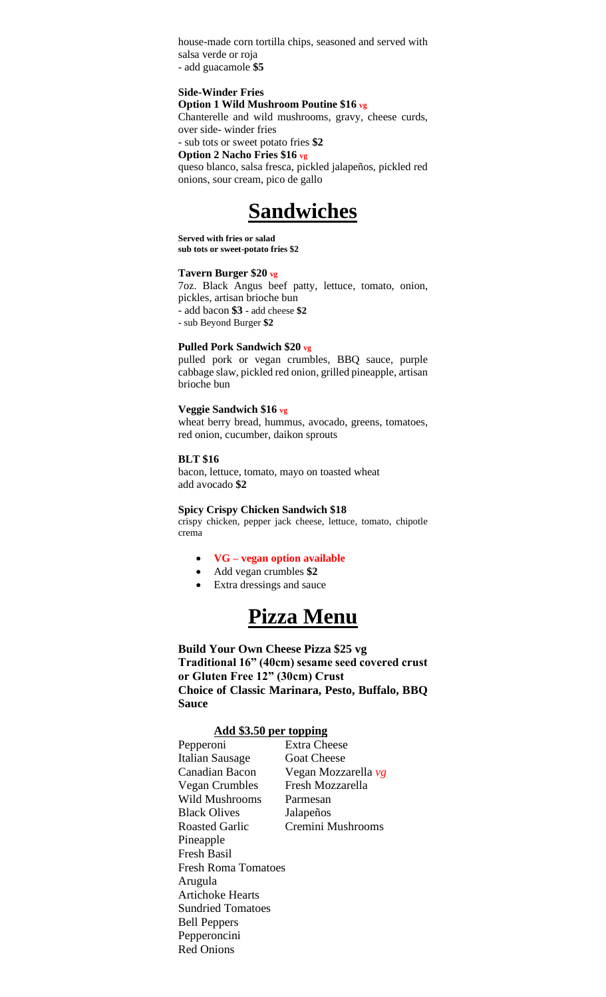house-made corn tortilla chips, seasoned and served with salsa verde or roja - add guacamole **\$5**

### **Side-Winder Fries**

**Option 1 Wild Mushroom Poutine \$16 vg**

Chanterelle and wild mushrooms, gravy, cheese curds, over side- winder fries

## *-* sub tots or sweet potato fries **\$2**

**Option 2 Nacho Fries \$16 vg**

queso blanco, salsa fresca, pickled jalapeños, pickled red onions, sour cream, pico de gallo



**Served with fries or salad sub tots or sweet-potato fries \$2**

## **Tavern Burger \$20 vg**

7oz. Black Angus beef patty, lettuce, tomato, onion, pickles, artisan brioche bun - add bacon **\$3 -** add cheese **\$2**

- sub Beyond Burger **\$2**

#### **Pulled Pork Sandwich \$20 vg**

pulled pork or vegan crumbles, BBQ sauce, purple cabbage slaw, pickled red onion, grilled pineapple, artisan brioche bun

#### **Veggie Sandwich \$16 vg**

wheat berry bread, hummus, avocado, greens, tomatoes, red onion, cucumber, daikon sprouts

## **BLT \$16**

bacon, lettuce, tomato, mayo on toasted wheat add avocado **\$2**

#### **Spicy Crispy Chicken Sandwich \$18**

crispy chicken, pepper jack cheese, lettuce, tomato, chipotle crema

#### • **VG – vegan option available**

- Add vegan crumbles **\$2**
- Extra dressings and sauce



**Build Your Own Cheese Pizza \$25 vg Traditional 16" (40cm) sesame seed covered crust or Gluten Free 12" (30cm) Crust Choice of Classic Marinara, Pesto, Buffalo, BBQ Sauce**

## **Add \$3.50 per topping**

| Pepperoni                  | <b>Extra Cheese</b> |  |  |
|----------------------------|---------------------|--|--|
| Italian Sausage            | <b>Goat Cheese</b>  |  |  |
| Canadian Bacon             | Vegan Mozzarella vg |  |  |
| Vegan Crumbles             | Fresh Mozzarella    |  |  |
| Wild Mushrooms             | Parmesan            |  |  |
| <b>Black Olives</b>        | Jalapeños           |  |  |
| <b>Roasted Garlic</b>      | Cremini Mushrooms   |  |  |
| Pineapple                  |                     |  |  |
| <b>Fresh Basil</b>         |                     |  |  |
| <b>Fresh Roma Tomatoes</b> |                     |  |  |
| Arugula                    |                     |  |  |
| <b>Artichoke Hearts</b>    |                     |  |  |
| <b>Sundried Tomatoes</b>   |                     |  |  |
| <b>Bell Peppers</b>        |                     |  |  |
| Pepperoncini               |                     |  |  |
| <b>Red Onions</b>          |                     |  |  |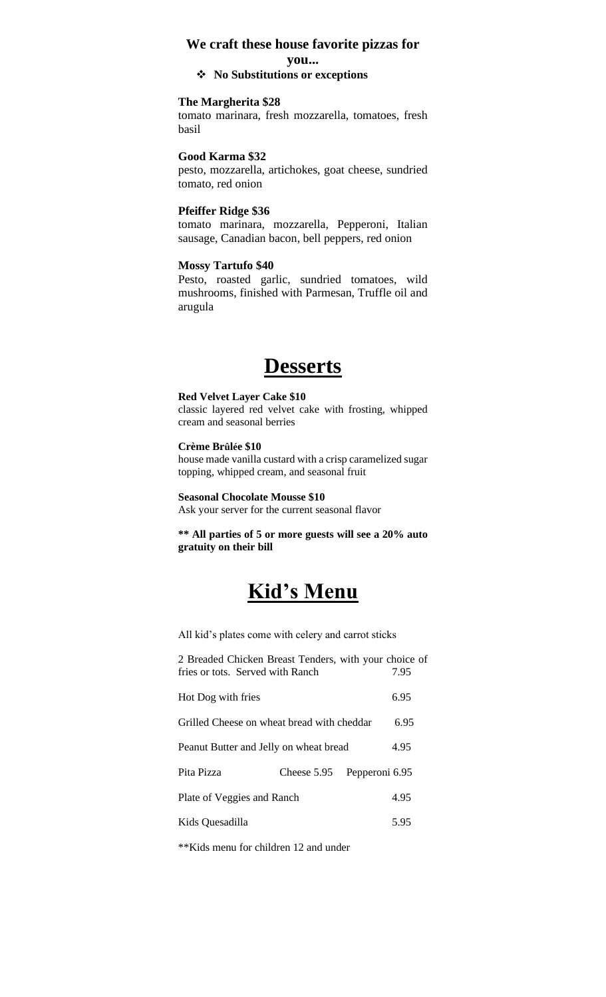## **We craft these house favorite pizzas for**

### **you...**

## ❖ **No Substitutions or exceptions**

### **The Margherita \$28**

tomato marinara, fresh mozzarella, tomatoes, fresh basil

### **Good Karma \$32**

pesto, mozzarella, artichokes, goat cheese, sundried tomato, red onion

## **Pfeiffer Ridge \$36**

tomato marinara, mozzarella, Pepperoni, Italian sausage, Canadian bacon, bell peppers, red onion

#### **Mossy Tartufo \$40**

Pesto, roasted garlic, sundried tomatoes, wild mushrooms, finished with Parmesan, Truffle oil and arugula

## **Desserts**

## **Red Velvet Layer Cake \$10**

classic layered red velvet cake with frosting, whipped cream and seasonal berries

## **Crème Brûlée \$10**

house made vanilla custard with a crisp caramelized sugar topping, whipped cream, and seasonal fruit

#### **Seasonal Chocolate Mousse \$10**

Ask your server for the current seasonal flavor

**\*\* All parties of 5 or more guests will see a 20% auto gratuity on their bill**

# **Kid's Menu**

All kid's plates come with celery and carrot sticks

| 2 Breaded Chicken Breast Tenders, with your choice of<br>fries or tots. Served with Ranch |             |                | 7.95 |
|-------------------------------------------------------------------------------------------|-------------|----------------|------|
| Hot Dog with fries                                                                        |             |                | 6.95 |
| Grilled Cheese on wheat bread with cheddar                                                |             |                | 6.95 |
| Peanut Butter and Jelly on wheat bread                                                    |             |                | 4.95 |
| Pita Pizza                                                                                | Cheese 5.95 | Pepperoni 6.95 |      |
| Plate of Veggies and Ranch                                                                |             |                | 4.95 |
| Kids Quesadilla                                                                           |             |                | 5.95 |
|                                                                                           |             |                |      |

\*\*Kids menu for children 12 and under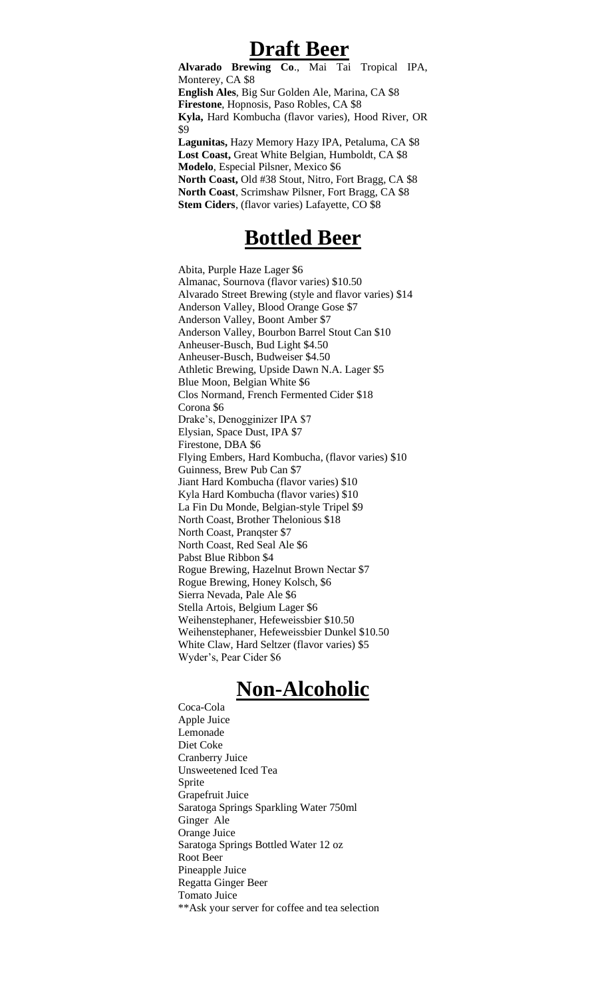## **Draft Beer**

**Alvarado Brewing Co**., Mai Tai Tropical IPA, Monterey, CA \$8 **English Ales**, Big Sur Golden Ale, Marina, CA \$8 **Firestone**, Hopnosis, Paso Robles, CA \$8 **Kyla,** Hard Kombucha (flavor varies), Hood River, OR \$9 **Lagunitas,** Hazy Memory Hazy IPA, Petaluma, CA \$8 **Lost Coast,** Great White Belgian, Humboldt, CA \$8 **Modelo**, Especial Pilsner, Mexico \$6 **North Coast,** Old #38 Stout, Nitro, Fort Bragg, CA \$8 **North Coast**, Scrimshaw Pilsner, Fort Bragg, CA \$8

## **Bottled Beer**

**Stem Ciders**, (flavor varies) Lafayette, CO \$8

Abita, Purple Haze Lager \$6 Almanac, Sournova (flavor varies) \$10.50 Alvarado Street Brewing (style and flavor varies) \$14 Anderson Valley, Blood Orange Gose \$7 Anderson Valley, Boont Amber \$7 Anderson Valley, Bourbon Barrel Stout Can \$10 Anheuser-Busch, Bud Light \$4.50 Anheuser-Busch, Budweiser \$4.50 Athletic Brewing, Upside Dawn N.A. Lager \$5 Blue Moon, Belgian White \$6 Clos Normand, French Fermented Cider \$18 Corona \$6 Drake's, Denogginizer IPA \$7 Elysian, Space Dust, IPA \$7 Firestone, DBA \$6 Flying Embers, Hard Kombucha, (flavor varies) \$10 Guinness, Brew Pub Can \$7 Jiant Hard Kombucha (flavor varies) \$10 Kyla Hard Kombucha (flavor varies) \$10 La Fin Du Monde, Belgian-style Tripel \$9 North Coast, Brother Thelonious \$18 North Coast, Pranqster \$7 North Coast, Red Seal Ale \$6 Pabst Blue Ribbon \$4 Rogue Brewing, Hazelnut Brown Nectar \$7 Rogue Brewing, Honey Kolsch, \$6 Sierra Nevada, Pale Ale \$6 Stella Artois, Belgium Lager \$6 Weihenstephaner, Hefeweissbier \$10.50 Weihenstephaner, Hefeweissbier Dunkel \$10.50 White Claw, Hard Seltzer (flavor varies) \$5 Wyder's, Pear Cider \$6

## **Non-Alcoholic**

Coca-Cola Apple Juice Lemonade Diet Coke Cranberry Juice Unsweetened Iced Tea Sprite Grapefruit Juice Saratoga Springs Sparkling Water 750ml Ginger Ale Orange Juice Saratoga Springs Bottled Water 12 oz Root Beer Pineapple Juice Regatta Ginger Beer Tomato Juice \*\*Ask your server for coffee and tea selection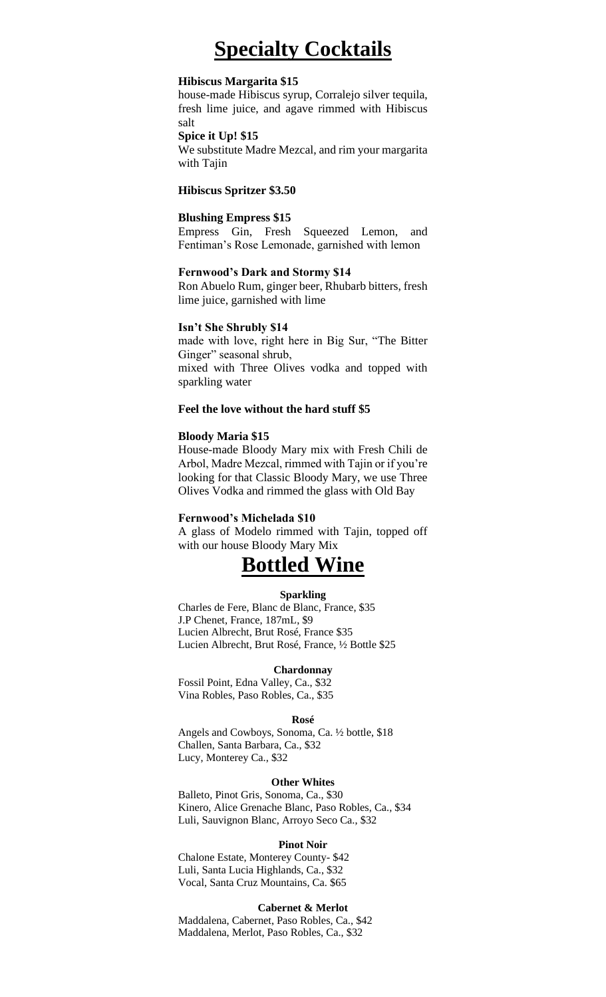# **Specialty Cocktails**

## **Hibiscus Margarita \$15**

house-made Hibiscus syrup, Corralejo silver tequila, fresh lime juice, and agave rimmed with Hibiscus salt

### **Spice it Up! \$15**

We substitute Madre Mezcal, and rim your margarita with Tajin

## **Hibiscus Spritzer \$3.50**

#### **Blushing Empress \$15**

Empress Gin, Fresh Squeezed Lemon, and Fentiman's Rose Lemonade, garnished with lemon

#### **Fernwood's Dark and Stormy \$14**

Ron Abuelo Rum, ginger beer, Rhubarb bitters, fresh lime juice, garnished with lime

### **Isn't She Shrubly \$14**

made with love, right here in Big Sur, "The Bitter Ginger" seasonal shrub,

mixed with Three Olives vodka and topped with sparkling water

### **Feel the love without the hard stuff \$5**

### **Bloody Maria \$15**

House-made Bloody Mary mix with Fresh Chili de Arbol, Madre Mezcal, rimmed with Tajin or if you're looking for that Classic Bloody Mary, we use Three Olives Vodka and rimmed the glass with Old Bay

### **Fernwood's Michelada \$10**

A glass of Modelo rimmed with Tajin, topped off with our house Bloody Mary Mix

# **Bottled Wine**

#### **Sparkling**

Charles de Fere, Blanc de Blanc, France, \$35 J.P Chenet, France, 187mL, \$9 Lucien Albrecht, Brut Rosé, France \$35 Lucien Albrecht, Brut Rosé, France, ½ Bottle \$25

#### **Chardonnay**

Fossil Point, Edna Valley, Ca., \$32 Vina Robles, Paso Robles, Ca., \$35

#### **Rosé**

Angels and Cowboys, Sonoma, Ca. ½ bottle, \$18 Challen, Santa Barbara, Ca., \$32 Lucy, Monterey Ca., \$32

#### **Other Whites**

Balleto, Pinot Gris, Sonoma, Ca., \$30 Kinero, Alice Grenache Blanc, Paso Robles, Ca., \$34 Luli, Sauvignon Blanc, Arroyo Seco Ca., \$32

#### **Pinot Noir**

Chalone Estate, Monterey County- \$42 Luli, Santa Lucia Highlands, Ca., \$32 Vocal, Santa Cruz Mountains, Ca. \$65

## **Cabernet & Merlot**

Maddalena, Cabernet, Paso Robles, Ca., \$42 Maddalena, Merlot, Paso Robles, Ca., \$32